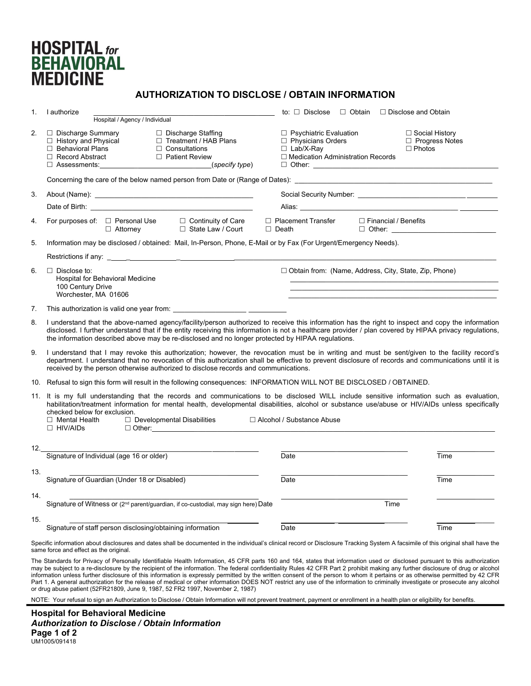## **HOSPITAL** for **BEHAVIORAL MEDICINE**

## **AUTHORIZATION TO DISCLOSE / OBTAIN INFORMATION**

| 1.  | I authorize                                                                                                                                                                                                                                                                                                                                                                                                                                   | to: $\Box$ Disclose<br>□ Obtain □ Disclose and Obtain                                                                                                     |                  |
|-----|-----------------------------------------------------------------------------------------------------------------------------------------------------------------------------------------------------------------------------------------------------------------------------------------------------------------------------------------------------------------------------------------------------------------------------------------------|-----------------------------------------------------------------------------------------------------------------------------------------------------------|------------------|
|     | Hospital / Agency / Individual                                                                                                                                                                                                                                                                                                                                                                                                                |                                                                                                                                                           |                  |
| 2.  | □ Discharge Staffing<br>□ Discharge Summary<br>□ History and Physical<br>□ Treatment / HAB Plans<br>□ Behavioral Plans<br>$\Box$ Consultations<br>Record Abstract<br>□ Patient Review<br>(specify type)                                                                                                                                                                                                                                       | $\Box$ Psychiatric Evaluation<br>□ Social History<br>$\Box$ Physicians Orders<br>$\Box$ Lab/X-Ray<br>$\Box$ Photos<br>□ Medication Administration Records | □ Progress Notes |
|     |                                                                                                                                                                                                                                                                                                                                                                                                                                               |                                                                                                                                                           |                  |
| 3.  |                                                                                                                                                                                                                                                                                                                                                                                                                                               |                                                                                                                                                           |                  |
|     | Date of Birth: The Contract of Birth: The Contract of Birth:                                                                                                                                                                                                                                                                                                                                                                                  | Alias: _______________<br><u> 1980 - Johann Barn, amerikansk politiker (d. 1980)</u>                                                                      |                  |
| 4.  | For purposes of: □ Personal Use □ Continuity of Care<br>□ State Law / Court<br>$\Box$ Attorney                                                                                                                                                                                                                                                                                                                                                | □ Financial / Benefits<br>□ Placement Transfer<br>$\Box$ Death<br>$\Box$ Other:                                                                           |                  |
| 5.  | Information may be disclosed / obtained: Mail, In-Person, Phone, E-Mail or by Fax (For Urgent/Emergency Needs).                                                                                                                                                                                                                                                                                                                               |                                                                                                                                                           |                  |
|     |                                                                                                                                                                                                                                                                                                                                                                                                                                               |                                                                                                                                                           |                  |
| 6.  | $\Box$ Disclose to:<br>Hospital for Behavioral Medicine<br>100 Century Drive<br>Worchester, MA 01606                                                                                                                                                                                                                                                                                                                                          | □ Obtain from: (Name, Address, City, State, Zip, Phone)                                                                                                   |                  |
| 7.  | This authorization is valid one year from: This authorization is valid one year from:                                                                                                                                                                                                                                                                                                                                                         |                                                                                                                                                           |                  |
| 8.  | I understand that the above-named agency/facility/person authorized to receive this information has the right to inspect and copy the information<br>disclosed. I further understand that if the entity receiving this information is not a healthcare provider / plan covered by HIPAA privacy regulations,<br>the information described above may be re-disclosed and no longer protected by HIPAA regulations.                             |                                                                                                                                                           |                  |
| 9.  | I understand that I may revoke this authorization; however, the revocation must be in writing and must be sent/given to the facility record's<br>department. I understand that no revocation of this authorization shall be effective to prevent disclosure of records and communications until it is<br>received by the person otherwise authorized to disclose records and communications.                                                  |                                                                                                                                                           |                  |
|     | 10. Refusal to sign this form will result in the following consequences: INFORMATION WILL NOT BE DISCLOSED / OBTAINED.                                                                                                                                                                                                                                                                                                                        |                                                                                                                                                           |                  |
|     | 11. It is my full understanding that the records and communications to be disclosed WILL include sensitive information such as evaluation.<br>habilitation/treatment information for mental health, developmental disabilities, alcohol or substance use/abuse or HIV/AIDs unless specifically<br>checked below for exclusion.<br>□ Alcohol / Substance Abuse<br>$\Box$ Mental Health<br>$\Box$ Developmental Disabilities<br>$\Box$ HIV/AIDs |                                                                                                                                                           |                  |
| 12. |                                                                                                                                                                                                                                                                                                                                                                                                                                               |                                                                                                                                                           |                  |
|     | Signature of Individual (age 16 or older)                                                                                                                                                                                                                                                                                                                                                                                                     | Date                                                                                                                                                      | Time             |
| 13. | Signature of Guardian (Under 18 or Disabled)                                                                                                                                                                                                                                                                                                                                                                                                  | Date                                                                                                                                                      | Time             |
| 14. | Signature of Witness or (2 <sup>nd</sup> parent/guardian, if co-custodial, may sign here) Date                                                                                                                                                                                                                                                                                                                                                | Time                                                                                                                                                      |                  |
| 15. |                                                                                                                                                                                                                                                                                                                                                                                                                                               |                                                                                                                                                           |                  |
|     | Signature of staff person disclosing/obtaining information                                                                                                                                                                                                                                                                                                                                                                                    | Date                                                                                                                                                      | Time             |

Specific information about disclosures and dates shall be documented in the individual's clinical record or Disclosure Tracking System A facsimile of this original shall have the same force and effect as the original.

The Standards for Privacy of Personally Identifiable Health Information, 45 CFR parts 160 and 164, states that information used or disclosed pursuant to this authorization may be subject to a re-disclosure by the recipient of the information. The federal confidentiality Rules 42 CFR Part 2 prohibit making any further disclosure of drug or alcohol information unless further disclosure of this information is expressly permitted by the written consent of the person to whom it pertains or as otherwise permitted by 42 CFR Part 1. A general authorization for the release of medical or other information DOES NOT restrict any use of the information to criminally investigate or prosecute any alcohol or drug abuse patient (52FR21809, June 9, 1987, 52 FR2 1997, November 2, 1987)

NOTE: Your refusal to sign an Authorization to Disclose / Obtain Information will not prevent treatment, payment or enrollment in a health plan or eligibility for benefits.

**Hospital for Behavioral Medicine** *Authorization to Disclose / Obtain Information* **Page 1 of 2**  UM1005/091418